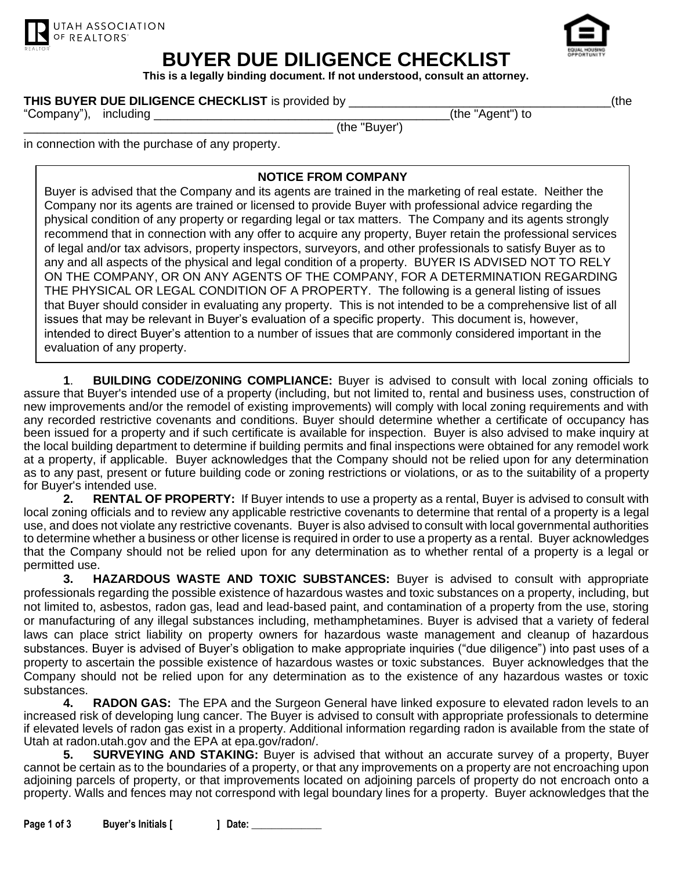

## **BUYER DUE DILIGENCE CHECKLIST**

**This is a legally binding document. If not understood, consult an attorney.**

## **THIS BUYER DUE DILIGENCE CHECKLIST** is provided by \_\_\_\_\_\_\_\_\_\_\_\_\_\_\_\_\_\_\_\_\_\_\_\_\_\_\_\_\_\_\_\_\_\_\_\_\_\_\_(the

"Company"), including  $\frac{1}{2}$  including  $\frac{1}{2}$ 

\_\_\_\_\_\_\_\_\_\_\_\_\_\_\_\_\_\_\_\_\_\_\_\_\_\_\_\_\_\_\_\_\_\_\_\_\_\_\_\_\_\_\_\_\_\_ (the "Buyer')

in connection with the purchase of any property.

**NOTICE FROM COMPANY**

Buyer is advised that the Company and its agents are trained in the marketing of real estate. Neither the Company nor its agents are trained or licensed to provide Buyer with professional advice regarding the physical condition of any property or regarding legal or tax matters. The Company and its agents strongly recommend that in connection with any offer to acquire any property, Buyer retain the professional services of legal and/or tax advisors, property inspectors, surveyors, and other professionals to satisfy Buyer as to any and all aspects of the physical and legal condition of a property. BUYER IS ADVISED NOT TO RELY ON THE COMPANY, OR ON ANY AGENTS OF THE COMPANY, FOR A DETERMINATION REGARDING THE PHYSICAL OR LEGAL CONDITION OF A PROPERTY. The following is a general listing of issues that Buyer should consider in evaluating any property. This is not intended to be a comprehensive list of all issues that may be relevant in Buyer's evaluation of a specific property. This document is, however, intended to direct Buyer's attention to a number of issues that are commonly considered important in the evaluation of any property.

**1**. **BUILDING CODE/ZONING COMPLIANCE:** Buyer is advised to consult with local zoning officials to assure that Buyer's intended use of a property (including, but not limited to, rental and business uses, construction of new improvements and/or the remodel of existing improvements) will comply with local zoning requirements and with any recorded restrictive covenants and conditions. Buyer should determine whether a certificate of occupancy has been issued for a property and if such certificate is available for inspection. Buyer is also advised to make inquiry at the local building department to determine if building permits and final inspections were obtained for any remodel work at a property, if applicable. Buyer acknowledges that the Company should not be relied upon for any determination as to any past, present or future building code or zoning restrictions or violations, or as to the suitability of a property for Buyer's intended use.

uyer s'intended use.<br>**2. RENTAL OF PROPERTY:** If Buyer intends to use a property as a rental, Buyer is advised to consult with local zoning officials and to review any applicable restrictive covenants to determine that rental of a property is a legal use, and does not violate any restrictive covenants. Buyer is also advised to consult with local governmental authorities to determine whether a business or other license is required in order to use a property as a rental. Buyer acknowledges that the Company should not be relied upon for any determination as to whether rental of a property is a legal or permitted use.

**3. HAZARDOUS WASTE AND TOXIC SUBSTANCES:** Buyer is advised to consult with appropriate professionals regarding the possible existence of hazardous wastes and toxic substances on a property, including, but not limited to, asbestos, radon gas, lead and lead-based paint, and contamination of a property from the use, storing or manufacturing of any illegal substances including, methamphetamines. Buyer is advised that a variety of federal laws can place strict liability on property owners for hazardous waste management and cleanup of hazardous substances. Buyer is advised of Buyer's obligation to make appropriate inquiries ("due diligence") into past uses of a property to ascertain the possible existence of hazardous wastes or toxic substances. Buyer acknowledges that the Company should not be relied upon for any determination as to the existence of any hazardous wastes or toxic substances.

**4. RADON GAS:** The EPA and the Surgeon General have linked exposure to elevated radon levels to an increased risk of developing lung cancer. The Buyer is advised to consult with appropriate professionals to determine if elevated levels of radon gas exist in a property. Additional information regarding radon is available from the state of Utah at radon.utah.gov and the EPA at epa.gov/radon/.<br>5. SURVEYING AND STAKING: Buyer is a

**SURVEYING AND STAKING:** Buyer is advised that without an accurate survey of a property, Buyer cannot be certain as to the boundaries of a property, or that any improvements on a property are not encroaching upon adjoining parcels of property, or that improvements located on adjoining parcels of property do not encroach onto a property. Walls and fences may not correspond with legal boundary lines for a property. Buyer acknowledges that the

**Page 1 of 3 Buyer's Initials [ ] Date: \_\_\_\_\_\_\_\_\_\_\_\_\_\_**

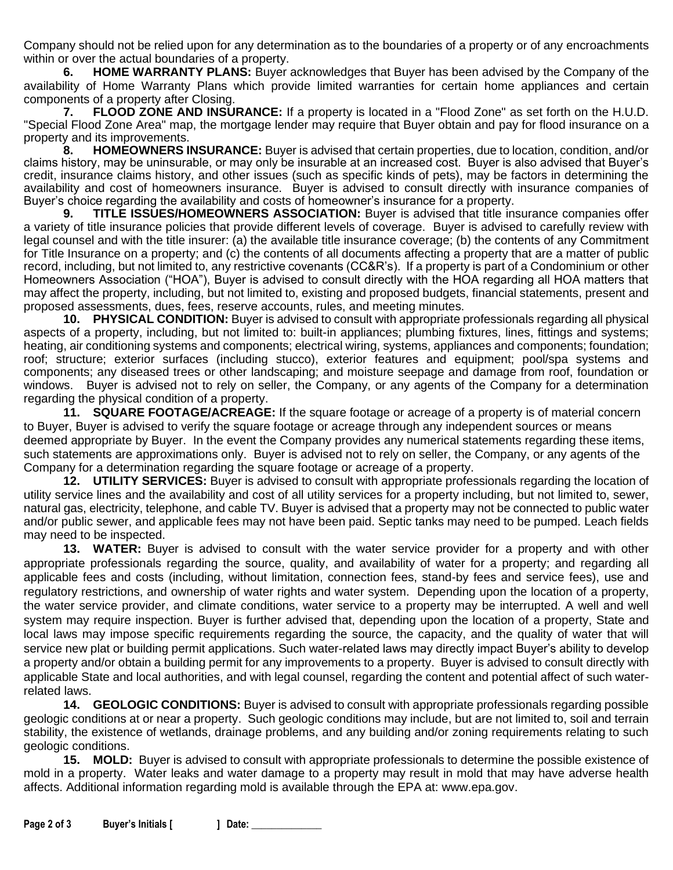Company should not be relied upon for any determination as to the boundaries of a property or of any encroachments within or over the actual boundaries of a property.

**6. HOME WARRANTY PLANS:** Buyer acknowledges that Buyer has been advised by the Company of the availability of Home Warranty Plans which provide limited warranties for certain home appliances and certain components of a property after Closing.

**7. FLOOD ZONE AND INSURANCE:** If a property is located in a "Flood Zone" as set forth on the H.U.D. "Special Flood Zone Area" map, the mortgage lender may require that Buyer obtain and pay for flood insurance on a property and its improvements.

**8. HOMEOWNERS INSURANCE:** Buyer is advised that certain properties, due to location, condition, and/or claims history, may be uninsurable, or may only be insurable at an increased cost. Buyer is also advised that Buyer's credit, insurance claims history, and other issues (such as specific kinds of pets), may be factors in determining the availability and cost of homeowners insurance. Buyer is advised to consult directly with insurance companies of Buyer's choice regarding the availability and costs of homeowner's insurance for a property.

**9. TITLE ISSUES/HOMEOWNERS ASSOCIATION:** Buyer is advised that title insurance companies offer a variety of title insurance policies that provide different levels of coverage. Buyer is advised to carefully review with legal counsel and with the title insurer: (a) the available title insurance coverage; (b) the contents of any Commitment for Title Insurance on a property; and (c) the contents of all documents affecting a property that are a matter of public record, including, but not limited to, any restrictive covenants (CC&R's). If a property is part of a Condominium or other Homeowners Association ("HOA"), Buyer is advised to consult directly with the HOA regarding all HOA matters that may affect the property, including, but not limited to, existing and proposed budgets, financial statements, present and proposed assessments, dues, fees, reserve accounts, rules, and meeting minutes.

**10. PHYSICAL CONDITION:** Buyer is advised to consult with appropriate professionals regarding all physical aspects of a property, including, but not limited to: built-in appliances; plumbing fixtures, lines, fittings and systems; heating, air conditioning systems and components; electrical wiring, systems, appliances and components; foundation; roof; structure; exterior surfaces (including stucco), exterior features and equipment; pool/spa systems and components; any diseased trees or other landscaping; and moisture seepage and damage from roof, foundation or windows. Buyer is advised not to rely on seller, the Company, or any agents of the Company for a determination regarding the physical condition of a property.

**11. SQUARE FOOTAGE/ACREAGE:** If the square footage or acreage of a property is of material concern to Buyer, Buyer is advised to verify the square footage or acreage through any independent sources or means deemed appropriate by Buyer. In the event the Company provides any numerical statements regarding these items, such statements are approximations only. Buyer is advised not to rely on seller, the Company, or any agents of the Company for a determination regarding the square footage or acreage of a property.

**12. UTILITY SERVICES:** Buyer is advised to consult with appropriate professionals regarding the location of utility service lines and the availability and cost of all utility services for a property including, but not limited to, sewer, natural gas, electricity, telephone, and cable TV. Buyer is advised that a property may not be connected to public water and/or public sewer, and applicable fees may not have been paid. Septic tanks may need to be pumped. Leach fields may need to be inspected.

**13. WATER:** Buyer is advised to consult with the water service provider for a property and with other appropriate professionals regarding the source, quality, and availability of water for a property; and regarding all applicable fees and costs (including, without limitation, connection fees, stand-by fees and service fees), use and regulatory restrictions, and ownership of water rights and water system. Depending upon the location of a property, the water service provider, and climate conditions, water service to a property may be interrupted. A well and well system may require inspection. Buyer is further advised that, depending upon the location of a property, State and local laws may impose specific requirements regarding the source, the capacity, and the quality of water that will service new plat or building permit applications. Such water-related laws may directly impact Buyer's ability to develop a property and/or obtain a building permit for any improvements to a property. Buyer is advised to consult directly with applicable State and local authorities, and with legal counsel, regarding the content and potential affect of such waterrelated laws.

**14. GEOLOGIC CONDITIONS:** Buyer is advised to consult with appropriate professionals regarding possible geologic conditions at or near a property. Such geologic conditions may include, but are not limited to, soil and terrain stability, the existence of wetlands, drainage problems, and any building and/or zoning requirements relating to such geologic conditions.

**15. MOLD:** Buyer is advised to consult with appropriate professionals to determine the possible existence of mold in a property. Water leaks and water damage to a property may result in mold that may have adverse health affects. Additional information regarding mold is available through the EPA at: [www.epa.gov.](http://www.epa.gov/)

**Page 2 of 3 Buyer's Initials [ ] Date: \_\_\_\_\_\_\_\_\_\_\_\_\_\_**